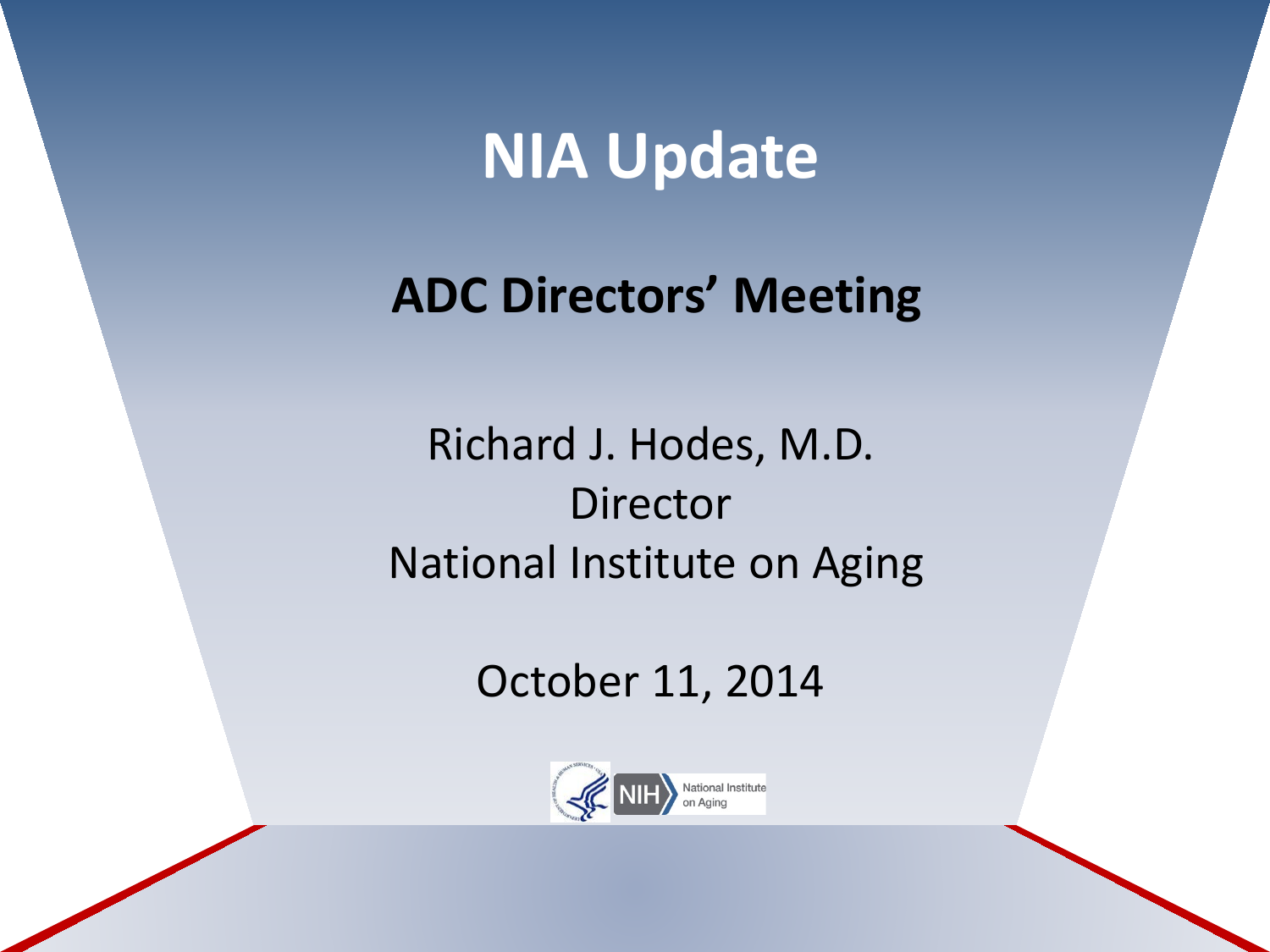# **NIA Update**

### **ADC Directors' Meeting**

Richard J. Hodes, M.D. Director National Institute on Aging

October 11, 2014

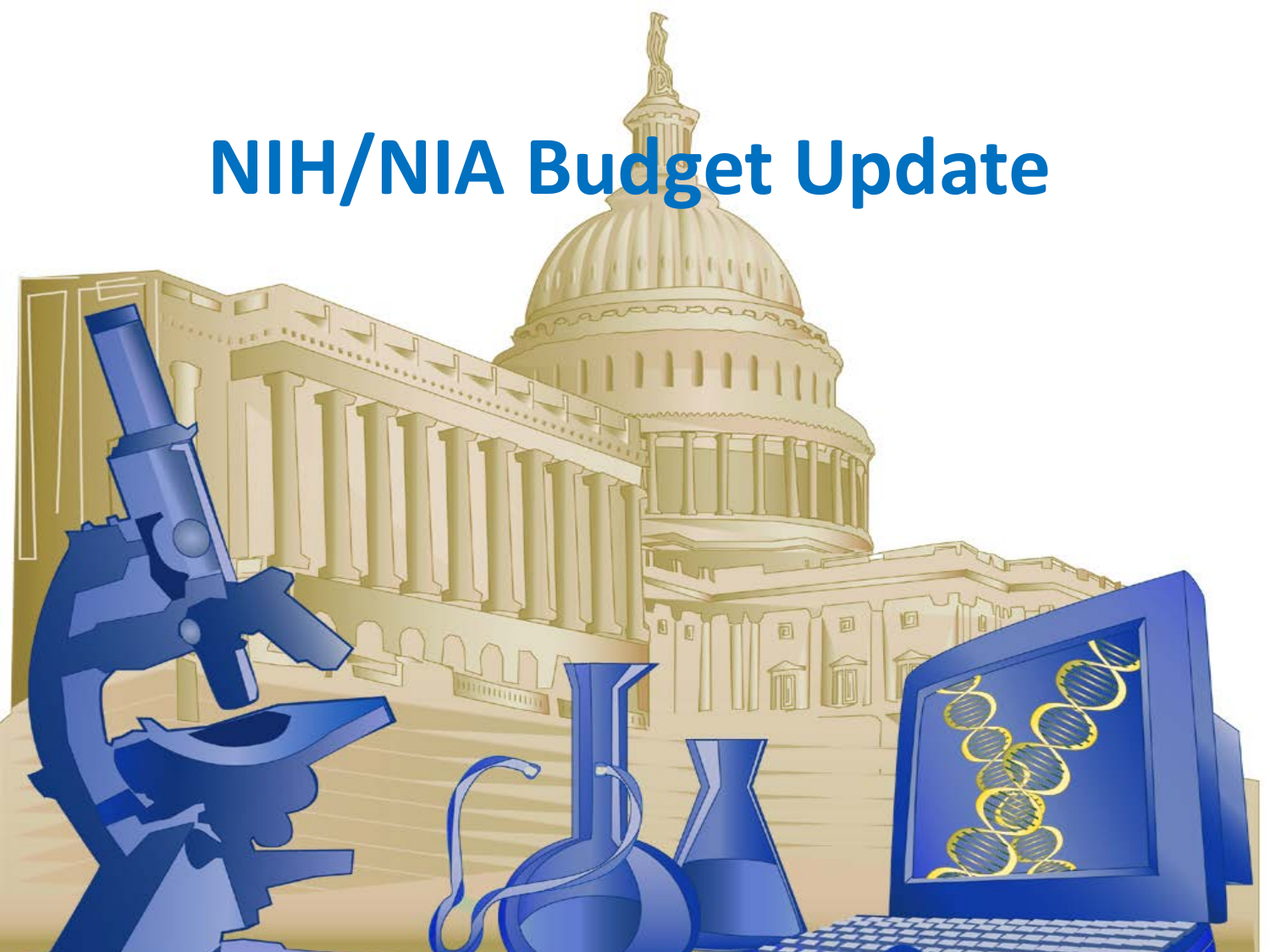# **NIH/NIA Budget Update**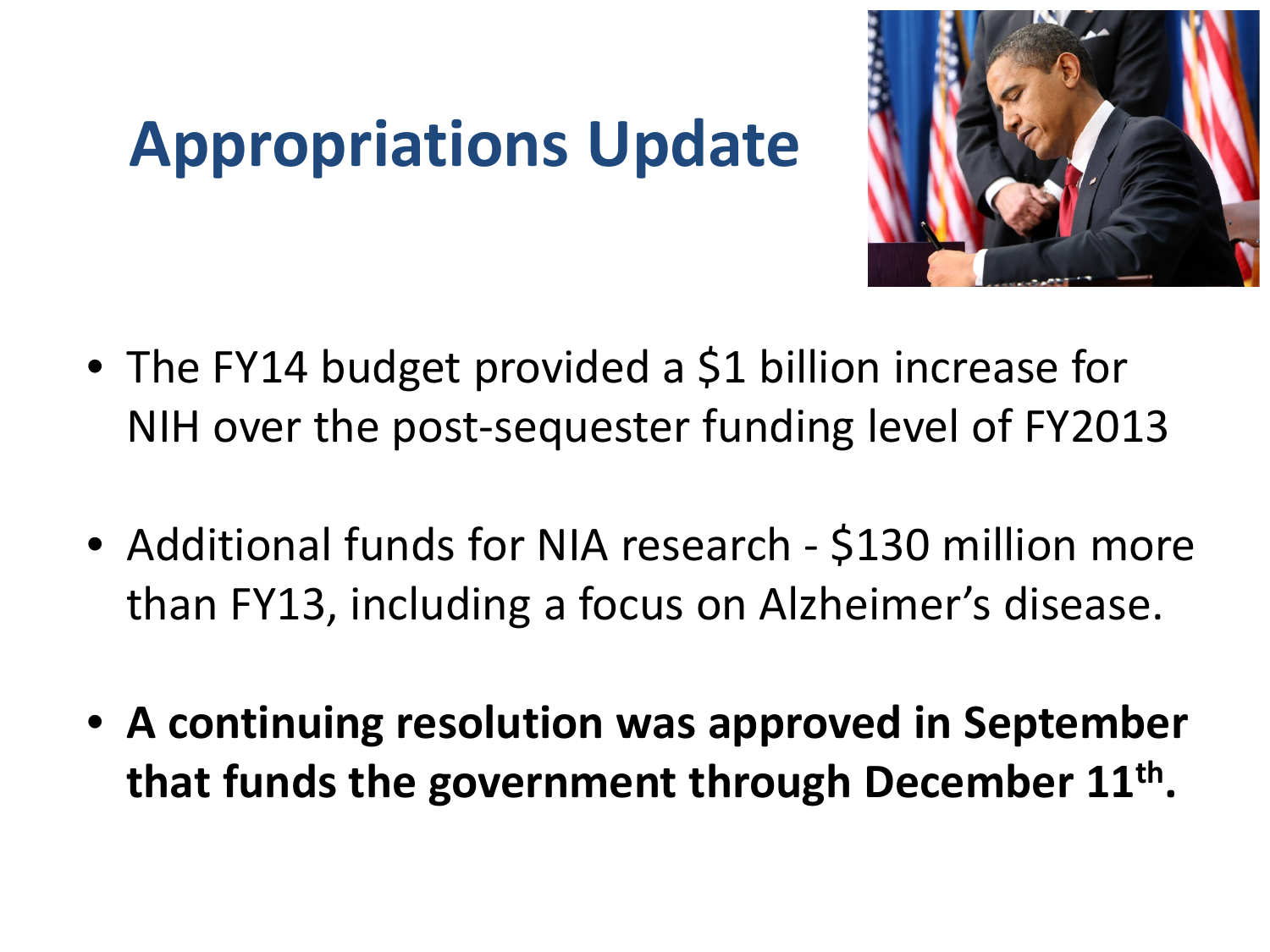# **Appropriations Update**



- The FY14 budget provided a \$1 billion increase for NIH over the post-sequester funding level of FY2013
- Additional funds for NIA research \$130 million more than FY13, including a focus on Alzheimer's disease.
- **A continuing resolution was approved in September that funds the government through December 11th.**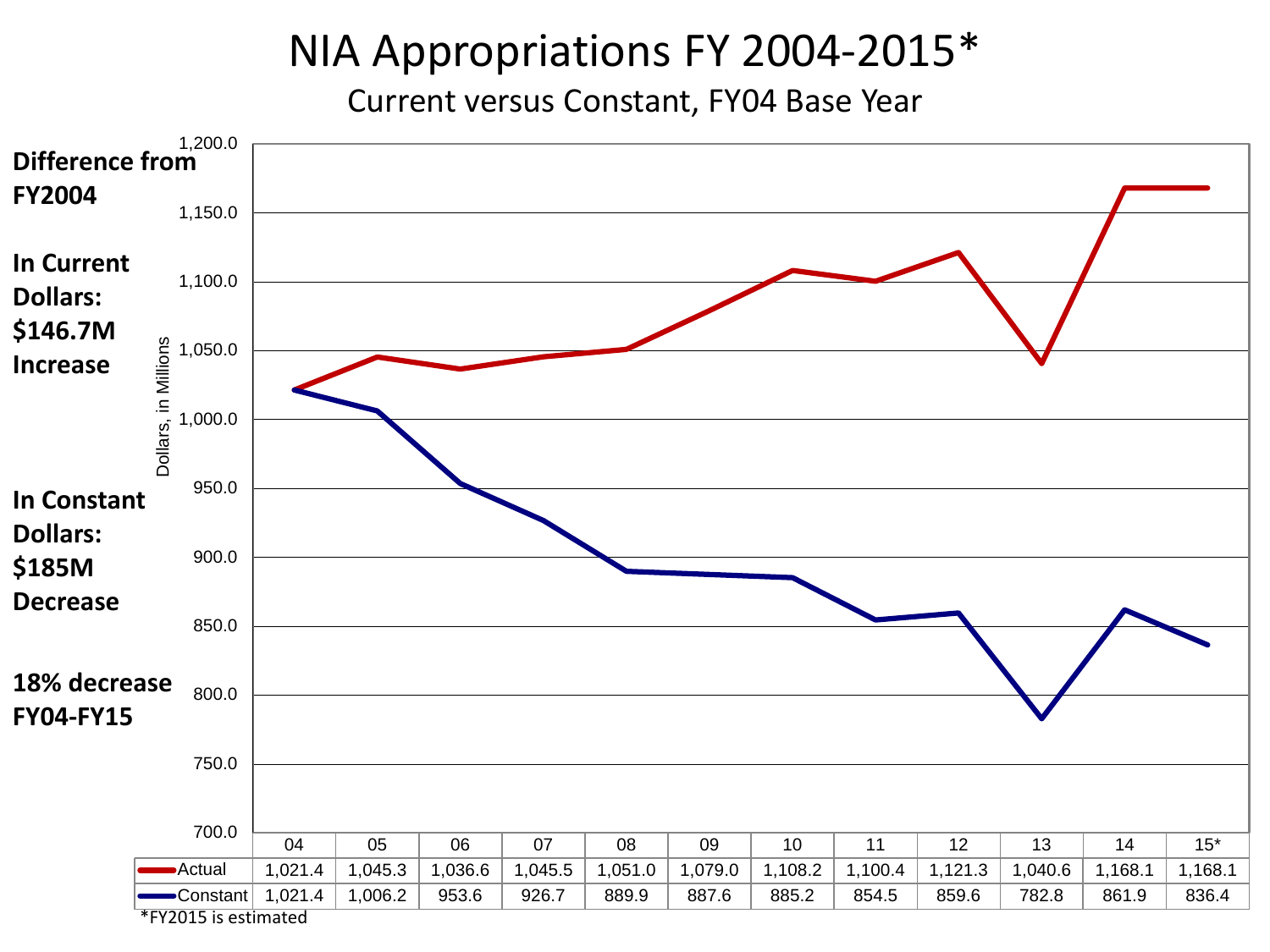#### NIA Appropriations FY 2004-2015\*

Current versus Constant, FY04 Base Year

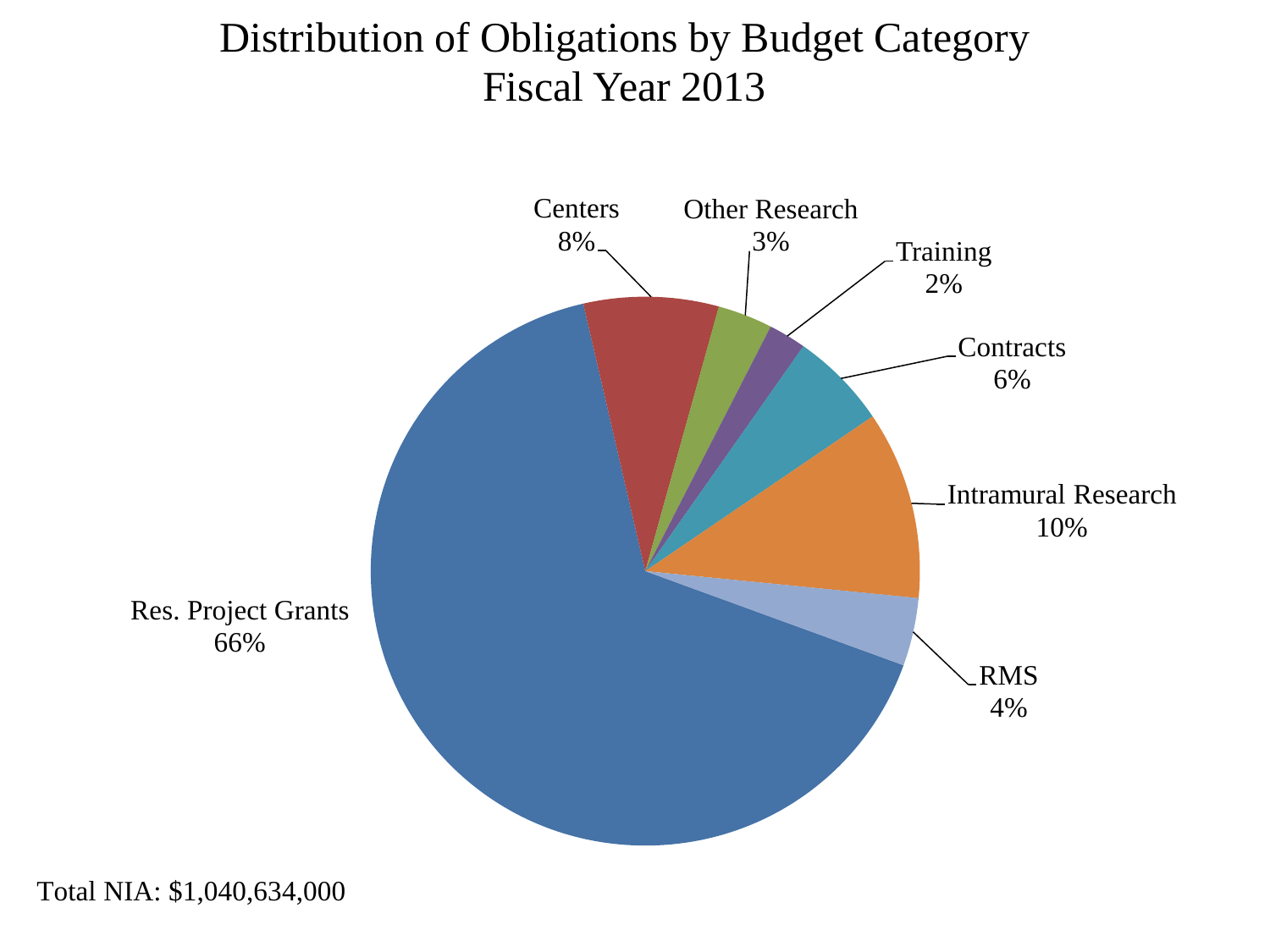#### Distribution of Obligations by Budget Category Fiscal Year 2013



Total NIA: \$1,040,634,000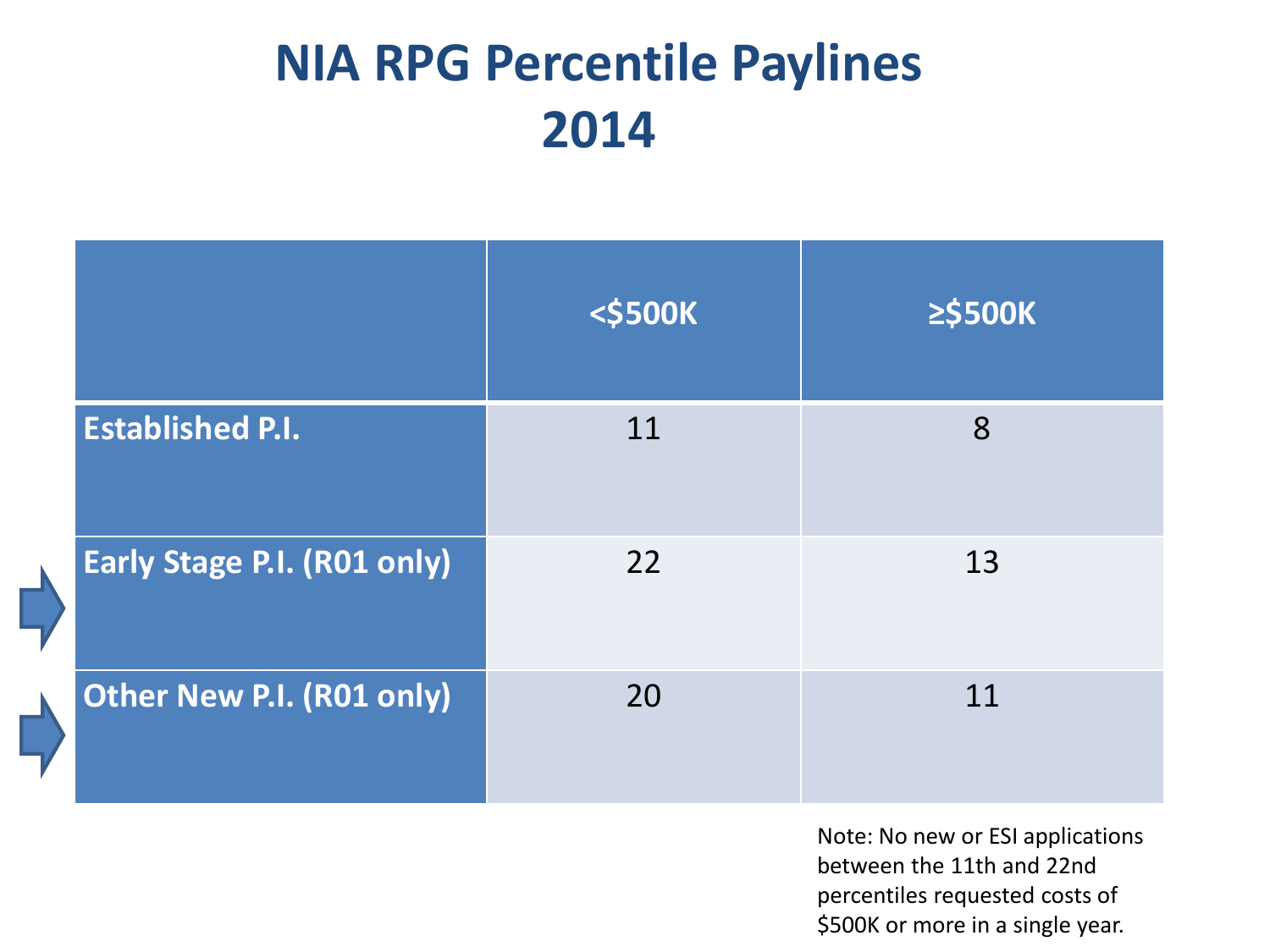### **NIA RPG Percentile Paylines 2014**

|                                    | <b>&lt;\$500K</b> | ≥\$500K |
|------------------------------------|-------------------|---------|
| <b>Established P.I.</b>            | 11                | 8       |
| <b>Early Stage P.I. (R01 only)</b> | 22                | 13      |
| Other New P.I. (R01 only)          | 20                | 11      |

Note: No new or ESI applications between the 11th and 22nd percentiles requested costs of \$500K or more in a single year.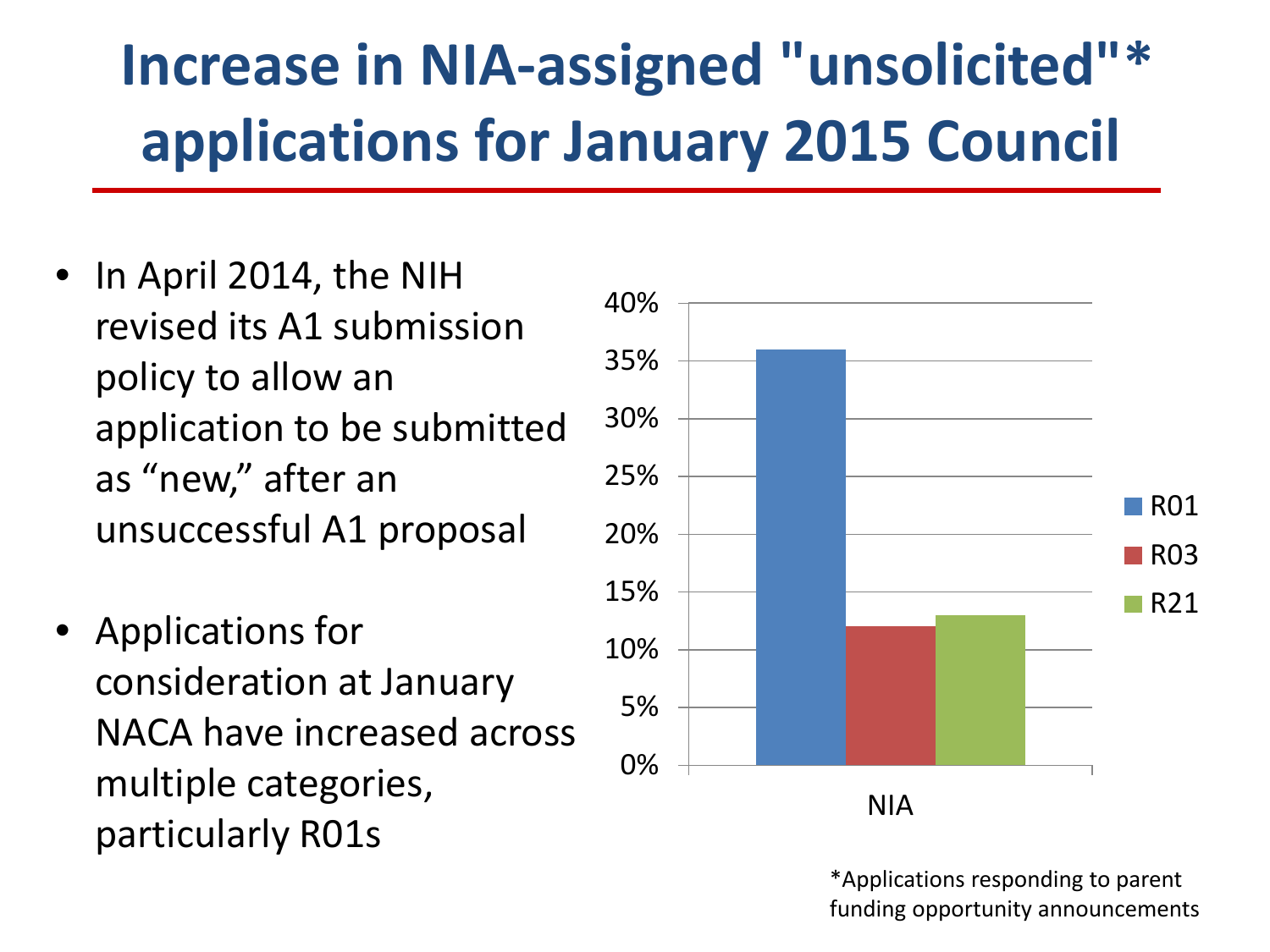# **Increase in NIA-assigned "unsolicited"\* applications for January 2015 Council**

- In April 2014, the NIH revised its A1 submission policy to allow an application to be submitted as "new," after an unsuccessful A1 proposal
- Applications for consideration at January NACA have increased across multiple categories, particularly R01s



\*Applications responding to parent funding opportunity announcements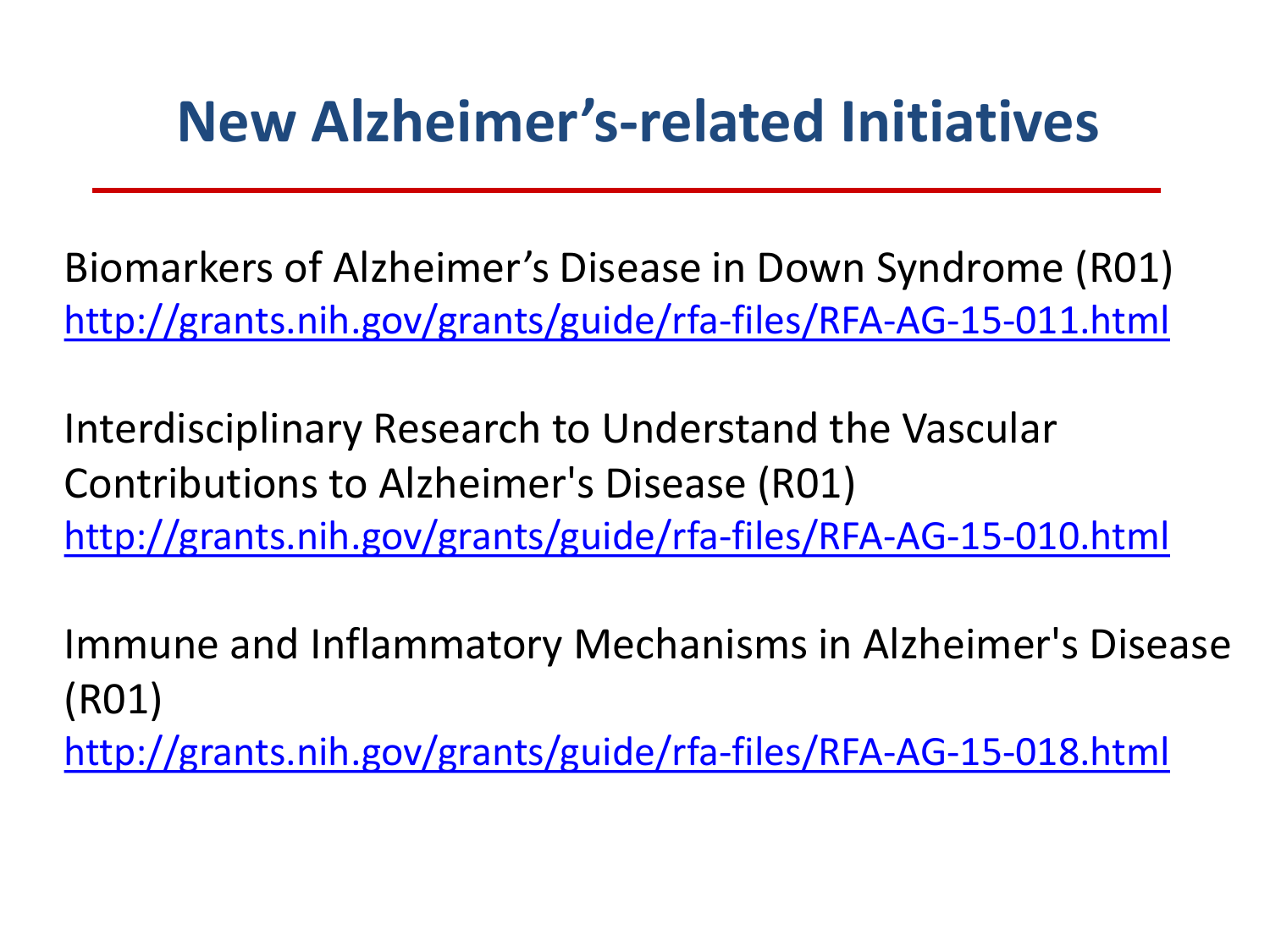## **New Alzheimer's-related Initiatives**

Biomarkers of Alzheimer's Disease in Down Syndrome (R01) <http://grants.nih.gov/grants/guide/rfa-files/RFA-AG-15-011.html>

Interdisciplinary Research to Understand the Vascular Contributions to Alzheimer's Disease (R01) <http://grants.nih.gov/grants/guide/rfa-files/RFA-AG-15-010.html>

Immune and Inflammatory Mechanisms in Alzheimer's Disease (R01)

<http://grants.nih.gov/grants/guide/rfa-files/RFA-AG-15-018.html>